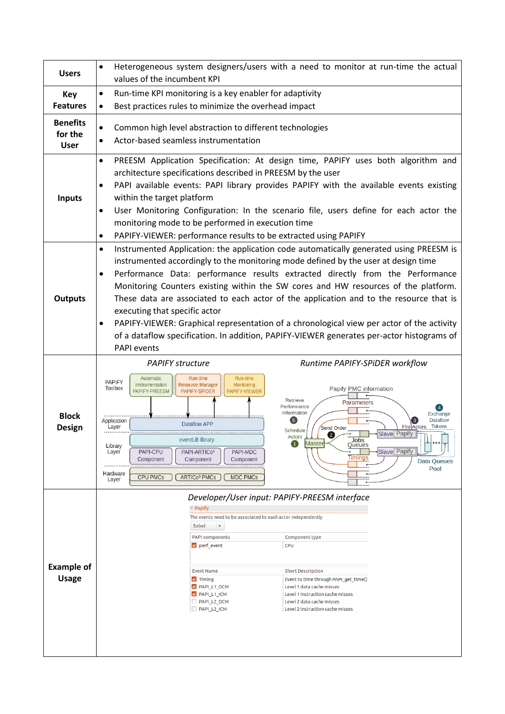| <b>Users</b>                              | Heterogeneous system designers/users with a need to monitor at run-time the actual<br>$\bullet$<br>values of the incumbent KPI                                                                                                                                                                                                                                                                                                                                                                                                                                                                                                                                                                                                                       |  |  |
|-------------------------------------------|------------------------------------------------------------------------------------------------------------------------------------------------------------------------------------------------------------------------------------------------------------------------------------------------------------------------------------------------------------------------------------------------------------------------------------------------------------------------------------------------------------------------------------------------------------------------------------------------------------------------------------------------------------------------------------------------------------------------------------------------------|--|--|
| Key                                       | Run-time KPI monitoring is a key enabler for adaptivity<br>$\bullet$                                                                                                                                                                                                                                                                                                                                                                                                                                                                                                                                                                                                                                                                                 |  |  |
| <b>Features</b>                           | Best practices rules to minimize the overhead impact<br>$\bullet$                                                                                                                                                                                                                                                                                                                                                                                                                                                                                                                                                                                                                                                                                    |  |  |
| <b>Benefits</b><br>for the<br><b>User</b> | Common high level abstraction to different technologies<br>$\bullet$<br>Actor-based seamless instrumentation<br>$\bullet$                                                                                                                                                                                                                                                                                                                                                                                                                                                                                                                                                                                                                            |  |  |
| <b>Inputs</b>                             | PREESM Application Specification: At design time, PAPIFY uses both algorithm and<br>$\bullet$<br>architecture specifications described in PREESM by the user<br>PAPI available events: PAPI library provides PAPIFY with the available events existing<br>$\bullet$<br>within the target platform<br>User Monitoring Configuration: In the scenario file, users define for each actor the<br>$\bullet$<br>monitoring mode to be performed in execution time<br>PAPIFY-VIEWER: performance results to be extracted using PAPIFY<br>$\bullet$                                                                                                                                                                                                          |  |  |
| <b>Outputs</b>                            | Instrumented Application: the application code automatically generated using PREESM is<br>$\bullet$<br>instrumented accordingly to the monitoring mode defined by the user at design time<br>Performance Data: performance results extracted directly from the Performance<br>$\bullet$<br>Monitoring Counters existing within the SW cores and HW resources of the platform.<br>These data are associated to each actor of the application and to the resource that is<br>executing that specific actor<br>PAPIFY-VIEWER: Graphical representation of a chronological view per actor of the activity<br>٠<br>of a dataflow specification. In addition, PAPIFY-VIEWER generates per-actor histograms of<br><b>PAPI</b> events                        |  |  |
|                                           | <b>PAPIFY structure</b><br>Runtime PAPIFY-SPIDER workflow                                                                                                                                                                                                                                                                                                                                                                                                                                                                                                                                                                                                                                                                                            |  |  |
| <b>Block</b><br><b>Design</b>             | Automatic<br>Run-time<br>Run-time<br><b>PAPIFY</b><br><b>Resource Manager</b><br>Instrumentation<br>Monitoring<br>Toolbox<br>Papify PMC information<br>PAPIFY-PREESM<br>PAPIFY-SPIDER<br>PAPIFY-VIEWER<br>Retrieve<br>Parameters<br>Performance<br>Information<br>Exchange<br>(5)<br><b>Dataflow</b><br>Application<br><b>Dataflow APP</b><br>Fire Actors Tokens<br>Layer<br>Send Order<br>Schedule<br>Slave Papify<br>2<br>Actors<br>eventLib library<br>Master<br>$\blacksquare$<br>Queues<br>Library<br>Slave Papify<br>Layer<br>PAPI-CPU<br>PAPI-ARTIC <sub>03</sub><br>PAPI-MDC<br>Timinas<br>Component<br>Component<br>Component<br>Data Queues<br>Pool<br>Hardware<br><b>CPU PMCs</b><br>ARTICo <sup>3</sup> PMCs<br><b>MDC PMCs</b><br>Layer |  |  |
| <b>Example of</b><br><b>Usage</b>         | Developer/User input: PAPIFY-PREESM interface<br>▼ Papify<br>The events need to be associated to each actor independently<br>Sobel<br>$\blacktriangledown$<br><b>PAPI components</b><br>Component type<br><b>CPU</b><br>$\triangledown$ perf_event<br><b>Event Name</b><br><b>Short Description</b><br>Event to time through PAPI_get_time()<br>$\triangledown$ Timing<br>PAPI L1 DCM<br>Level 1 data cache misses<br>PAPI_L1_ICM<br>Level 1 instruction cache misses<br>PAPI_L2_DCM<br>Level 2 data cache misses<br>PAPI_L2_ICM<br>Level 2 instruction cache misses                                                                                                                                                                                 |  |  |